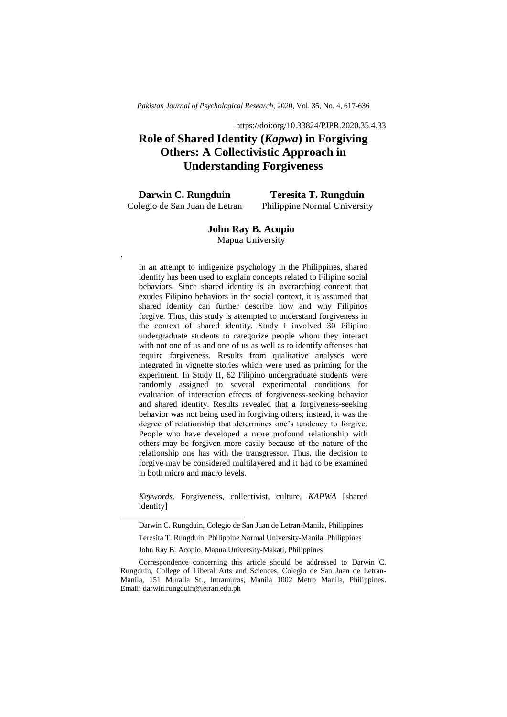*Pakistan Journal of Psychological Research,* 2020, Vol. 35, No. 4, 617-636

https://doi:org/10.33824/PJPR.2020.35.4.33

# **Role of Shared Identity (***Kapwa***) in Forgiving Others: A Collectivistic Approach in Understanding Forgiveness**

**Darwin C. Rungduin** Colegio de San Juan de Letran

**,.**

-

**Teresita T. Rungduin** Philippine Normal University

# **John Ray B. Acopio** Mapua University

In an attempt to indigenize psychology in the Philippines, shared identity has been used to explain concepts related to Filipino social behaviors. Since shared identity is an overarching concept that exudes Filipino behaviors in the social context, it is assumed that shared identity can further describe how and why Filipinos forgive. Thus, this study is attempted to understand forgiveness in the context of shared identity. Study I involved 30 Filipino undergraduate students to categorize people whom they interact with not one of us and one of us as well as to identify offenses that require forgiveness. Results from qualitative analyses were integrated in vignette stories which were used as priming for the experiment. In Study II, 62 Filipino undergraduate students were randomly assigned to several experimental conditions for evaluation of interaction effects of forgiveness-seeking behavior and shared identity. Results revealed that a forgiveness-seeking behavior was not being used in forgiving others; instead, it was the degree of relationship that determines one's tendency to forgive. People who have developed a more profound relationship with others may be forgiven more easily because of the nature of the relationship one has with the transgressor. Thus, the decision to forgive may be considered multilayered and it had to be examined in both micro and macro levels.

*Keywords*. Forgiveness, collectivist, culture, *KAPWA* [shared identity]

Darwin C. Rungduin, Colegio de San Juan de Letran-Manila, Philippines

Teresita T. Rungduin, Philippine Normal University-Manila, Philippines

John Ray B. Acopio, Mapua University-Makati, Philippines

Correspondence concerning this article should be addressed to Darwin C. Rungduin, College of Liberal Arts and Sciences, Colegio de San Juan de Letran-Manila, 151 Muralla St., Intramuros, Manila 1002 Metro Manila, Philippines. Email: darwin.rungduin@letran.edu.ph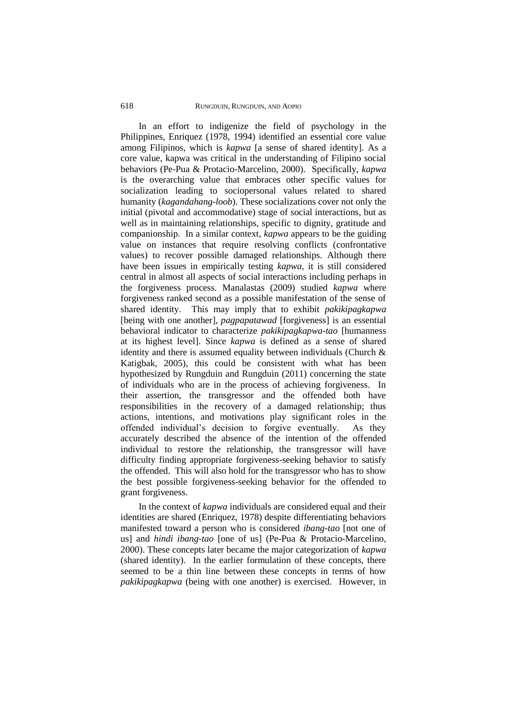### 618RUNGDUIN, RUNGDUIN, AND AOPIO

In an effort to indigenize the field of psychology in the Philippines, Enriquez (1978, 1994) identified an essential core value among Filipinos, which is *kapwa* [a sense of shared identity]. As a core value, kapwa was critical in the understanding of Filipino social behaviors (Pe-Pua & Protacio-Marcelino, 2000). Specifically, *kapwa*  is the overarching value that embraces other specific values for socialization leading to sociopersonal values related to shared humanity (*kagandahang-loob*). These socializations cover not only the initial (pivotal and accommodative) stage of social interactions, but as well as in maintaining relationships, specific to dignity, gratitude and companionship. In a similar context, *kapwa* appears to be the guiding value on instances that require resolving conflicts (confrontative values) to recover possible damaged relationships. Although there have been issues in empirically testing *kapwa*, it is still considered central in almost all aspects of social interactions including perhaps in the forgiveness process. Manalastas (2009) studied *kapwa* where forgiveness ranked second as a possible manifestation of the sense of shared identity. This may imply that to exhibit *pakikipagkapwa*  [being with one another], *pagpapatawad* [forgiveness] is an essential behavioral indicator to characterize *pakikipagkapwa-tao* [humanness at its highest level]. Since *kapwa* is defined as a sense of shared identity and there is assumed equality between individuals (Church & Katigbak, 2005), this could be consistent with what has been hypothesized by Rungduin and Rungduin (2011) concerning the state of individuals who are in the process of achieving forgiveness. In their assertion, the transgressor and the offended both have responsibilities in the recovery of a damaged relationship; thus actions, intentions, and motivations play significant roles in the offended individual's decision to forgive eventually. As they accurately described the absence of the intention of the offended individual to restore the relationship, the transgressor will have difficulty finding appropriate forgiveness-seeking behavior to satisfy the offended. This will also hold for the transgressor who has to show the best possible forgiveness-seeking behavior for the offended to grant forgiveness.

In the context of *kapwa* individuals are considered equal and their identities are shared (Enriquez, 1978) despite differentiating behaviors manifested toward a person who is considered *ibang-tao* [not one of us] and *hindi ibang-tao* [one of us] (Pe-Pua & Protacio-Marcelino, 2000). These concepts later became the major categorization of *kapwa*  (shared identity). In the earlier formulation of these concepts, there seemed to be a thin line between these concepts in terms of how *pakikipagkapwa* (being with one another) is exercised. However, in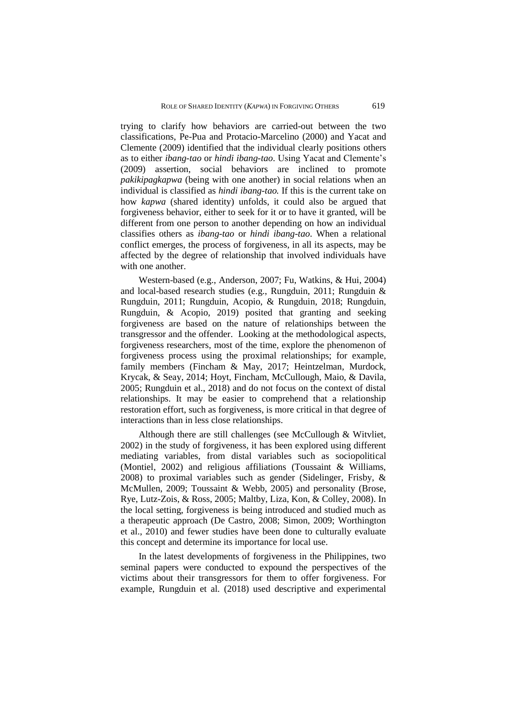trying to clarify how behaviors are carried-out between the two classifications, Pe-Pua and Protacio-Marcelino (2000) and Yacat and Clemente (2009) identified that the individual clearly positions others as to either *ibang-tao* or *hindi ibang-tao*. Using Yacat and Clemente's (2009) assertion, social behaviors are inclined to promote *pakikipagkapwa* (being with one another) in social relations when an individual is classified as *hindi ibang-tao.* If this is the current take on how *kapwa* (shared identity) unfolds, it could also be argued that forgiveness behavior, either to seek for it or to have it granted, will be different from one person to another depending on how an individual classifies others as *ibang-tao* or *hindi ibang-tao*. When a relational conflict emerges, the process of forgiveness, in all its aspects, may be affected by the degree of relationship that involved individuals have with one another.

Western-based (e.g., Anderson, 2007; Fu, Watkins, & Hui, 2004) and local-based research studies (e.g., Rungduin, 2011; Rungduin & Rungduin, 2011; Rungduin, Acopio, & Rungduin, 2018; Rungduin, Rungduin, & Acopio, 2019) posited that granting and seeking forgiveness are based on the nature of relationships between the transgressor and the offender. Looking at the methodological aspects, forgiveness researchers, most of the time, explore the phenomenon of forgiveness process using the proximal relationships; for example, family members (Fincham & May, 2017; Heintzelman, Murdock, Krycak, & Seay, 2014; Hoyt, Fincham, McCullough, Maio, & Davila, 2005; Rungduin et al., 2018) and do not focus on the context of distal relationships. It may be easier to comprehend that a relationship restoration effort, such as forgiveness, is more critical in that degree of interactions than in less close relationships.

Although there are still challenges (see McCullough & Witvliet, 2002) in the study of forgiveness, it has been explored using different mediating variables, from distal variables such as sociopolitical (Montiel, 2002) and religious affiliations (Toussaint & Williams, 2008) to proximal variables such as gender (Sidelinger, Frisby, & McMullen, 2009; Toussaint & Webb, 2005) and personality (Brose, Rye, Lutz-Zois, & Ross, 2005; Maltby, Liza, Kon, & Colley, 2008). In the local setting, forgiveness is being introduced and studied much as a therapeutic approach (De Castro, 2008; Simon, 2009; Worthington et al., 2010) and fewer studies have been done to culturally evaluate this concept and determine its importance for local use.

In the latest developments of forgiveness in the Philippines, two seminal papers were conducted to expound the perspectives of the victims about their transgressors for them to offer forgiveness. For example, Rungduin et al. (2018) used descriptive and experimental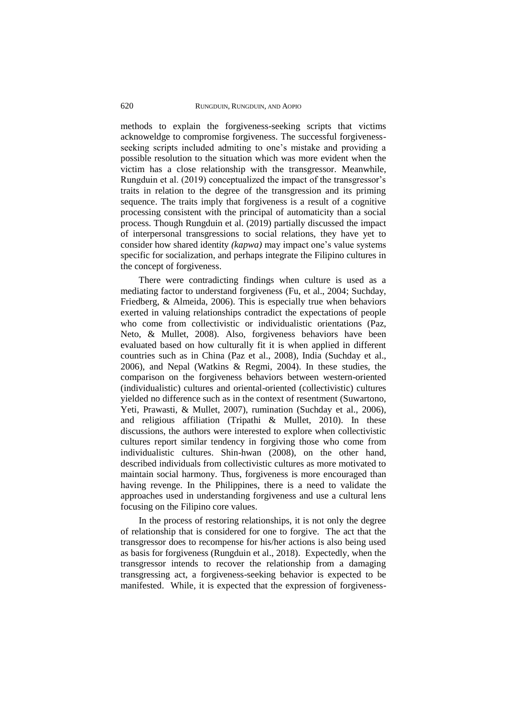methods to explain the forgiveness-seeking scripts that victims acknoweldge to compromise forgiveness. The successful forgivenessseeking scripts included admiting to one's mistake and providing a possible resolution to the situation which was more evident when the victim has a close relationship with the transgressor. Meanwhile, Rungduin et al. (2019) conceptualized the impact of the transgressor's traits in relation to the degree of the transgression and its priming sequence. The traits imply that forgiveness is a result of a cognitive processing consistent with the principal of automaticity than a social process. Though Rungduin et al. (2019) partially discussed the impact of interpersonal transgressions to social relations, they have yet to consider how shared identity *(kapwa)* may impact one's value systems specific for socialization, and perhaps integrate the Filipino cultures in the concept of forgiveness.

There were contradicting findings when culture is used as a mediating factor to understand forgiveness (Fu, et al., 2004; Suchday, Friedberg, & Almeida, 2006). This is especially true when behaviors exerted in valuing relationships contradict the expectations of people who come from collectivistic or individualistic orientations (Paz, Neto, & Mullet, 2008). Also, forgiveness behaviors have been evaluated based on how culturally fit it is when applied in different countries such as in China (Paz et al., 2008), India (Suchday et al., 2006), and Nepal (Watkins & Regmi, 2004). In these studies, the comparison on the forgiveness behaviors between western-oriented (individualistic) cultures and oriental-oriented (collectivistic) cultures yielded no difference such as in the context of resentment (Suwartono, Yeti, Prawasti, & Mullet, 2007), rumination (Suchday et al., 2006), and religious affiliation (Tripathi & Mullet, 2010). In these discussions, the authors were interested to explore when collectivistic cultures report similar tendency in forgiving those who come from individualistic cultures. Shin-hwan (2008), on the other hand, described individuals from collectivistic cultures as more motivated to maintain social harmony. Thus, forgiveness is more encouraged than having revenge. In the Philippines, there is a need to validate the approaches used in understanding forgiveness and use a cultural lens focusing on the Filipino core values.

In the process of restoring relationships, it is not only the degree of relationship that is considered for one to forgive. The act that the transgressor does to recompense for his/her actions is also being used as basis for forgiveness (Rungduin et al., 2018). Expectedly, when the transgressor intends to recover the relationship from a damaging transgressing act, a forgiveness-seeking behavior is expected to be manifested. While, it is expected that the expression of forgiveness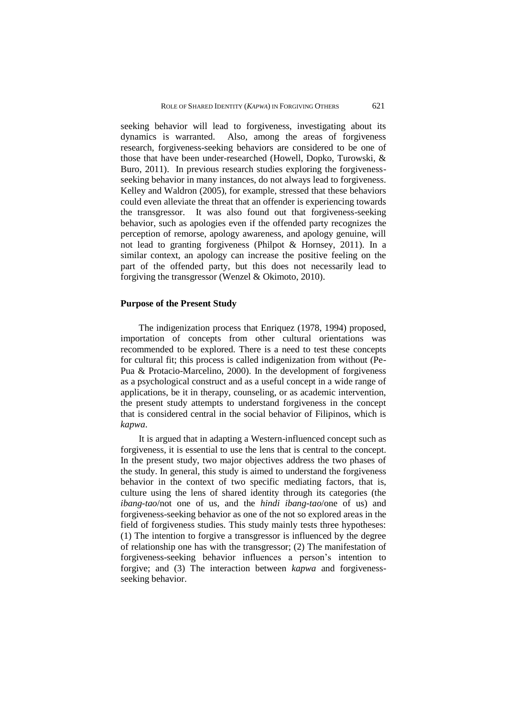seeking behavior will lead to forgiveness, investigating about its dynamics is warranted. Also, among the areas of forgiveness research, forgiveness-seeking behaviors are considered to be one of those that have been under-researched (Howell, Dopko, Turowski, & Buro, 2011). In previous research studies exploring the forgivenessseeking behavior in many instances, do not always lead to forgiveness. Kelley and Waldron (2005), for example, stressed that these behaviors could even alleviate the threat that an offender is experiencing towards the transgressor. It was also found out that forgiveness-seeking behavior, such as apologies even if the offended party recognizes the perception of remorse, apology awareness, and apology genuine, will not lead to granting forgiveness (Philpot & Hornsey, 2011). In a similar context, an apology can increase the positive feeling on the part of the offended party, but this does not necessarily lead to forgiving the transgressor (Wenzel & Okimoto, 2010).

### **Purpose of the Present Study**

The indigenization process that Enriquez (1978, 1994) proposed, importation of concepts from other cultural orientations was recommended to be explored. There is a need to test these concepts for cultural fit; this process is called indigenization from without (Pe-Pua & Protacio-Marcelino, 2000). In the development of forgiveness as a psychological construct and as a useful concept in a wide range of applications, be it in therapy, counseling, or as academic intervention, the present study attempts to understand forgiveness in the concept that is considered central in the social behavior of Filipinos, which is *kapwa*.

It is argued that in adapting a Western-influenced concept such as forgiveness, it is essential to use the lens that is central to the concept. In the present study, two major objectives address the two phases of the study. In general, this study is aimed to understand the forgiveness behavior in the context of two specific mediating factors, that is, culture using the lens of shared identity through its categories (the *ibang-tao*/not one of us, and the *hindi ibang-tao*/one of us) and forgiveness-seeking behavior as one of the not so explored areas in the field of forgiveness studies. This study mainly tests three hypotheses: (1) The intention to forgive a transgressor is influenced by the degree of relationship one has with the transgressor; (2) The manifestation of forgiveness-seeking behavior influences a person's intention to forgive; and (3) The interaction between *kapwa* and forgivenessseeking behavior.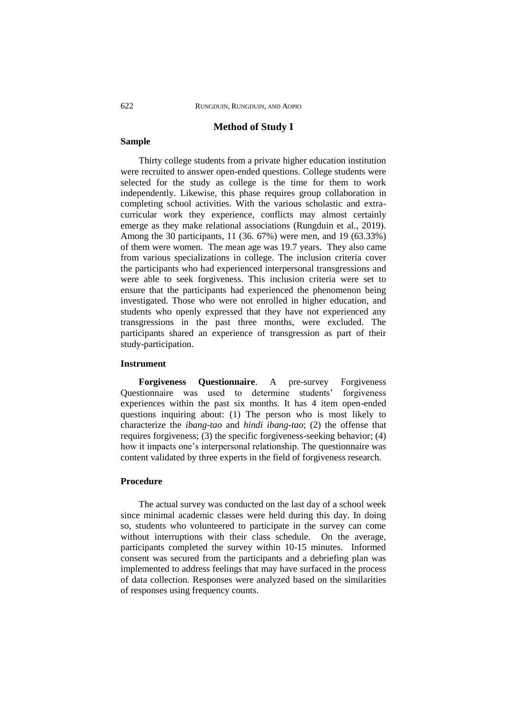# **Method of Study I**

### **Sample**

Thirty college students from a private higher education institution were recruited to answer open-ended questions. College students were selected for the study as college is the time for them to work independently. Likewise, this phase requires group collaboration in completing school activities. With the various scholastic and extracurricular work they experience, conflicts may almost certainly emerge as they make relational associations (Rungduin et al., 2019). Among the 30 participants, 11 (36. 67%) were men, and 19 (63.33%) of them were women. The mean age was 19.7 years. They also came from various specializations in college. The inclusion criteria cover the participants who had experienced interpersonal transgressions and were able to seek forgiveness. This inclusion criteria were set to ensure that the participants had experienced the phenomenon being investigated. Those who were not enrolled in higher education, and students who openly expressed that they have not experienced any transgressions in the past three months, were excluded. The participants shared an experience of transgression as part of their study-participation.

### **Instrument**

**Forgiveness Questionnaire**. A pre-survey Forgiveness Questionnaire was used to determine students' forgiveness experiences within the past six months. It has 4 item open-ended questions inquiring about: (1) The person who is most likely to characterize the *ibang-tao* and *hindi ibang-tao*; (2) the offense that requires forgiveness; (3) the specific forgiveness-seeking behavior; (4) how it impacts one's interpersonal relationship. The questionnaire was content validated by three experts in the field of forgiveness research.

# **Procedure**

The actual survey was conducted on the last day of a school week since minimal academic classes were held during this day. In doing so, students who volunteered to participate in the survey can come without interruptions with their class schedule. On the average, participants completed the survey within 10-15 minutes. Informed consent was secured from the participants and a debriefing plan was implemented to address feelings that may have surfaced in the process of data collection. Responses were analyzed based on the similarities of responses using frequency counts.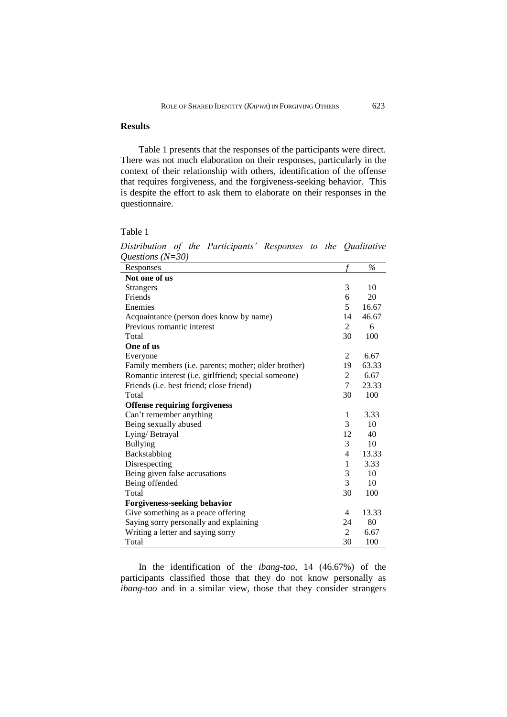# **Results**

Table 1 presents that the responses of the participants were direct. There was not much elaboration on their responses, particularly in the context of their relationship with others, identification of the offense that requires forgiveness, and the forgiveness-seeking behavior. This is despite the effort to ask them to elaborate on their responses in the questionnaire.

Table 1

| Questions $(18 - 30)$                                |                |               |
|------------------------------------------------------|----------------|---------------|
| Responses                                            | f              | $\frac{0}{6}$ |
| Not one of us                                        |                |               |
| <b>Strangers</b>                                     | 3              | 10            |
| Friends                                              | 6              | 20            |
| Enemies                                              | 5              | 16.67         |
| Acquaintance (person does know by name)              | 14             | 46.67         |
| Previous romantic interest                           | $\overline{2}$ | 6             |
| Total                                                | 30             | 100           |
| One of us                                            |                |               |
| Everyone                                             | 2              | 6.67          |
| Family members (i.e. parents; mother; older brother) | 19             | 63.33         |
| Romantic interest (i.e. girlfriend; special someone) | 2              | 6.67          |
| Friends ( <i>i.e.</i> best friend; close friend)     | 7              | 23.33         |
| Total                                                | 30             | 100           |
| <b>Offense requiring forgiveness</b>                 |                |               |
| Can't remember anything                              | 1              | 3.33          |
| Being sexually abused                                | 3              | 10            |
| Lying/ Betrayal                                      | 12             | 40            |
| <b>Bullying</b>                                      | 3              | 10            |
| Backstabbing                                         | 4              | 13.33         |
| Disrespecting                                        | 1              | 3.33          |
| Being given false accusations                        | 3              | 10            |
| Being offended                                       | 3              | 10            |
| Total                                                | 30             | 100           |
| Forgiveness-seeking behavior                         |                |               |
| Give something as a peace offering                   | 4              | 13.33         |
| Saying sorry personally and explaining               | 24             | 80            |
| Writing a letter and saying sorry                    | 2              | 6.67          |
| Total                                                | 30             | 100           |

*Distribution of the Participants' Responses to the Qualitative Questions (N=30)*

In the identification of the *ibang-tao*, 14 (46.67%) of the participants classified those that they do not know personally as *ibang-tao* and in a similar view, those that they consider strangers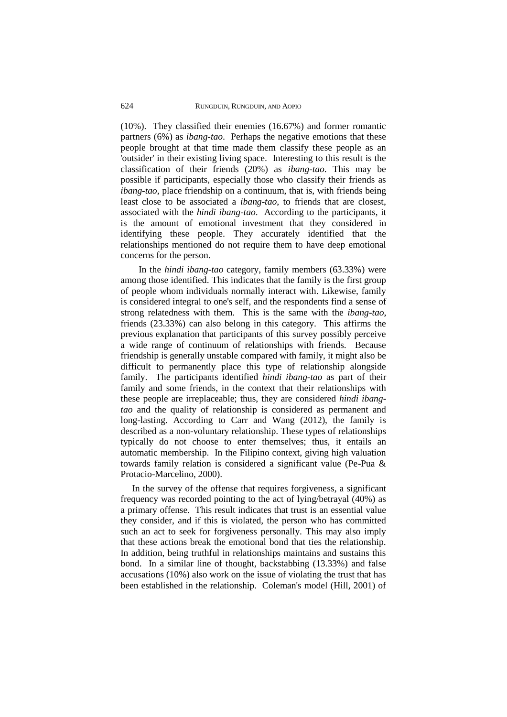(10%). They classified their enemies (16.67%) and former romantic partners (6%) as *ibang-tao*. Perhaps the negative emotions that these people brought at that time made them classify these people as an 'outsider' in their existing living space. Interesting to this result is the classification of their friends (20%) as *ibang-tao*. This may be possible if participants, especially those who classify their friends as *ibang-tao*, place friendship on a continuum, that is, with friends being least close to be associated a *ibang-tao*, to friends that are closest, associated with the *hindi ibang-tao*. According to the participants, it is the amount of emotional investment that they considered in identifying these people. They accurately identified that the relationships mentioned do not require them to have deep emotional concerns for the person.

In the *hindi ibang-tao* category, family members (63.33%) were among those identified. This indicates that the family is the first group of people whom individuals normally interact with. Likewise, family is considered integral to one's self, and the respondents find a sense of strong relatedness with them. This is the same with the *ibang-tao*, friends (23.33%) can also belong in this category. This affirms the previous explanation that participants of this survey possibly perceive a wide range of continuum of relationships with friends. Because friendship is generally unstable compared with family, it might also be difficult to permanently place this type of relationship alongside family. The participants identified *hindi ibang-tao* as part of their family and some friends, in the context that their relationships with these people are irreplaceable; thus, they are considered *hindi ibangtao* and the quality of relationship is considered as permanent and long-lasting. According to Carr and Wang (2012), the family is described as a non-voluntary relationship. These types of relationships typically do not choose to enter themselves; thus, it entails an automatic membership. In the Filipino context, giving high valuation towards family relation is considered a significant value (Pe-Pua & Protacio-Marcelino, 2000).

In the survey of the offense that requires forgiveness, a significant frequency was recorded pointing to the act of lying/betrayal (40%) as a primary offense. This result indicates that trust is an essential value they consider, and if this is violated, the person who has committed such an act to seek for forgiveness personally. This may also imply that these actions break the emotional bond that ties the relationship. In addition, being truthful in relationships maintains and sustains this bond. In a similar line of thought, backstabbing (13.33%) and false accusations (10%) also work on the issue of violating the trust that has been established in the relationship. Coleman's model (Hill, 2001) of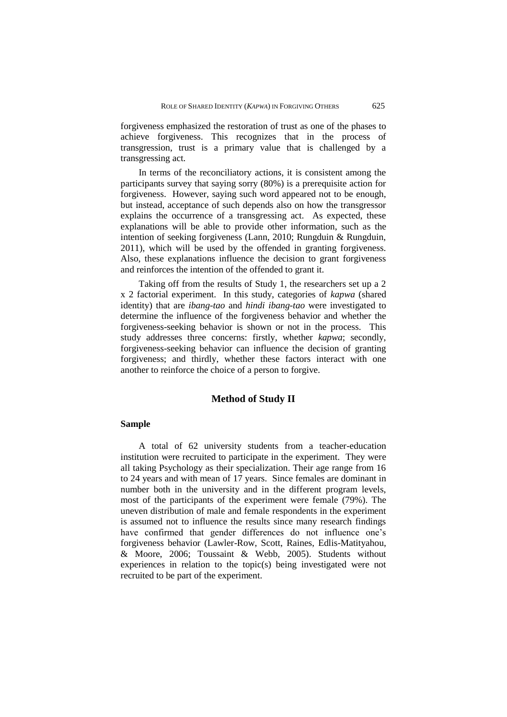forgiveness emphasized the restoration of trust as one of the phases to achieve forgiveness. This recognizes that in the process of transgression, trust is a primary value that is challenged by a transgressing act.

In terms of the reconciliatory actions, it is consistent among the participants survey that saying sorry (80%) is a prerequisite action for forgiveness. However, saying such word appeared not to be enough, but instead, acceptance of such depends also on how the transgressor explains the occurrence of a transgressing act. As expected, these explanations will be able to provide other information, such as the intention of seeking forgiveness (Lann, 2010; Rungduin & Rungduin, 2011), which will be used by the offended in granting forgiveness. Also, these explanations influence the decision to grant forgiveness and reinforces the intention of the offended to grant it.

Taking off from the results of Study 1, the researchers set up a 2 x 2 factorial experiment. In this study, categories of *kapwa* (shared identity) that are *ibang-tao* and *hindi ibang-tao* were investigated to determine the influence of the forgiveness behavior and whether the forgiveness-seeking behavior is shown or not in the process. This study addresses three concerns: firstly, whether *kapwa*; secondly, forgiveness-seeking behavior can influence the decision of granting forgiveness; and thirdly, whether these factors interact with one another to reinforce the choice of a person to forgive.

# **Method of Study II**

# **Sample**

A total of 62 university students from a teacher-education institution were recruited to participate in the experiment. They were all taking Psychology as their specialization. Their age range from 16 to 24 years and with mean of 17 years. Since females are dominant in number both in the university and in the different program levels, most of the participants of the experiment were female (79%). The uneven distribution of male and female respondents in the experiment is assumed not to influence the results since many research findings have confirmed that gender differences do not influence one's forgiveness behavior (Lawler-Row, Scott, Raines, Edlis-Matityahou, & Moore, 2006; Toussaint & Webb, 2005). Students without experiences in relation to the topic(s) being investigated were not recruited to be part of the experiment.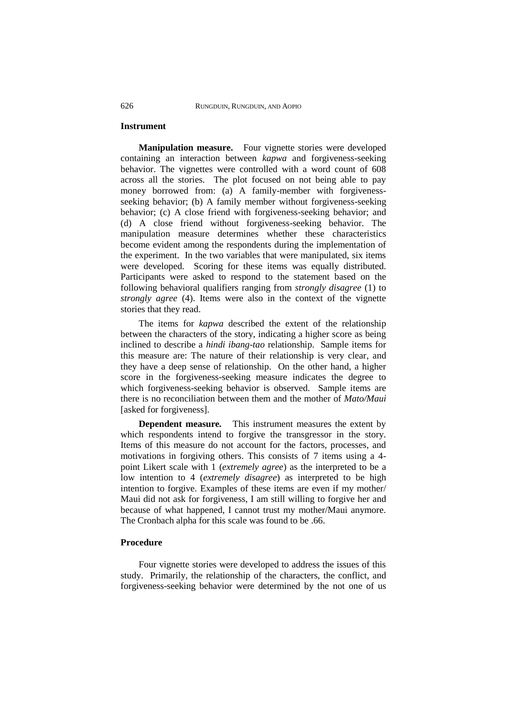### **Instrument**

**Manipulation measure.** Four vignette stories were developed containing an interaction between *kapwa* and forgiveness-seeking behavior. The vignettes were controlled with a word count of 608 across all the stories. The plot focused on not being able to pay money borrowed from: (a) A family-member with forgivenessseeking behavior; (b) A family member without forgiveness-seeking behavior; (c) A close friend with forgiveness-seeking behavior; and (d) A close friend without forgiveness-seeking behavior. The manipulation measure determines whether these characteristics become evident among the respondents during the implementation of the experiment. In the two variables that were manipulated, six items were developed. Scoring for these items was equally distributed. Participants were asked to respond to the statement based on the following behavioral qualifiers ranging from *strongly disagree* (1) to *strongly agree* (4). Items were also in the context of the vignette stories that they read.

The items for *kapwa* described the extent of the relationship between the characters of the story, indicating a higher score as being inclined to describe a *hindi ibang-tao* relationship. Sample items for this measure are: The nature of their relationship is very clear, and they have a deep sense of relationship. On the other hand, a higher score in the forgiveness-seeking measure indicates the degree to which forgiveness-seeking behavior is observed. Sample items are there is no reconciliation between them and the mother of *Mato/Maui* [asked for forgiveness].

**Dependent measure***.* This instrument measures the extent by which respondents intend to forgive the transgressor in the story. Items of this measure do not account for the factors, processes, and motivations in forgiving others. This consists of 7 items using a 4 point Likert scale with 1 (*extremely agree*) as the interpreted to be a low intention to 4 (*extremely disagree*) as interpreted to be high intention to forgive. Examples of these items are even if my mother/ Maui did not ask for forgiveness, I am still willing to forgive her and because of what happened, I cannot trust my mother/Maui anymore. The Cronbach alpha for this scale was found to be .66.

#### **Procedure**

Four vignette stories were developed to address the issues of this study. Primarily, the relationship of the characters, the conflict, and forgiveness-seeking behavior were determined by the not one of us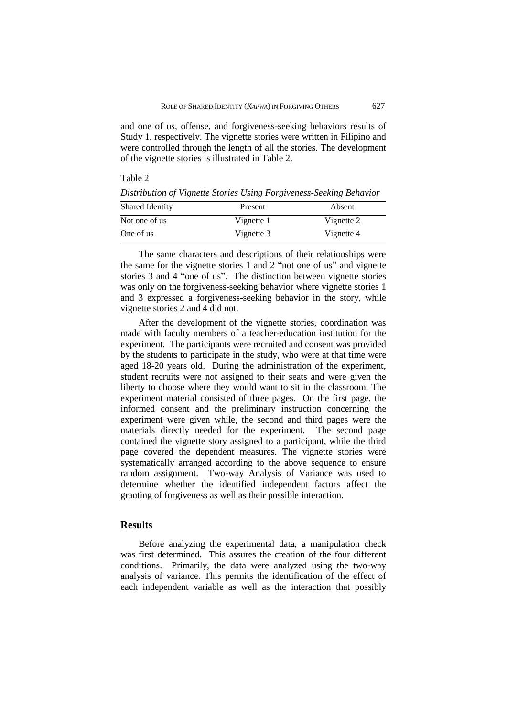and one of us, offense, and forgiveness-seeking behaviors results of Study 1, respectively. The vignette stories were written in Filipino and were controlled through the length of all the stories. The development of the vignette stories is illustrated in Table 2.

Table 2

*Distribution of Vignette Stories Using Forgiveness-Seeking Behavior*

| Shared Identity | Present    | Absent     |  |
|-----------------|------------|------------|--|
| Not one of us   | Vignette 1 | Vignette 2 |  |
| One of us       | Vignette 3 | Vignette 4 |  |

The same characters and descriptions of their relationships were the same for the vignette stories 1 and 2 "not one of us" and vignette stories 3 and 4 "one of us". The distinction between vignette stories was only on the forgiveness-seeking behavior where vignette stories 1 and 3 expressed a forgiveness-seeking behavior in the story, while vignette stories 2 and 4 did not.

After the development of the vignette stories, coordination was made with faculty members of a teacher-education institution for the experiment. The participants were recruited and consent was provided by the students to participate in the study, who were at that time were aged 18-20 years old. During the administration of the experiment, student recruits were not assigned to their seats and were given the liberty to choose where they would want to sit in the classroom. The experiment material consisted of three pages. On the first page, the informed consent and the preliminary instruction concerning the experiment were given while, the second and third pages were the materials directly needed for the experiment. The second page contained the vignette story assigned to a participant, while the third page covered the dependent measures. The vignette stories were systematically arranged according to the above sequence to ensure random assignment. Two-way Analysis of Variance was used to determine whether the identified independent factors affect the granting of forgiveness as well as their possible interaction.

### **Results**

Before analyzing the experimental data, a manipulation check was first determined. This assures the creation of the four different conditions. Primarily, the data were analyzed using the two-way analysis of variance. This permits the identification of the effect of each independent variable as well as the interaction that possibly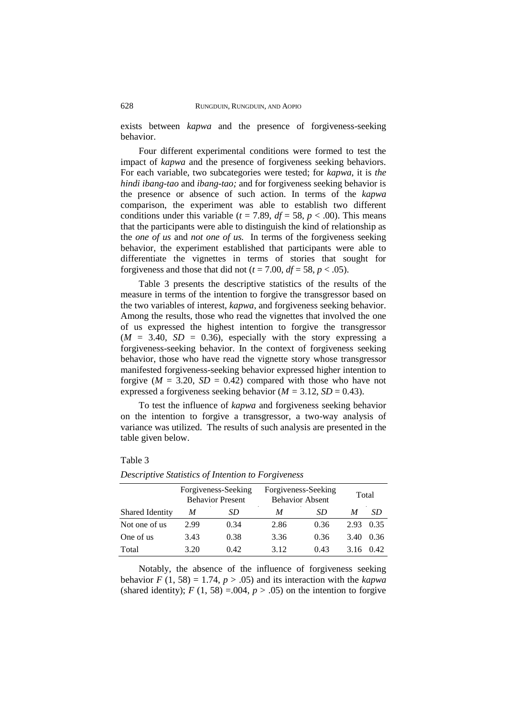exists between *kapwa* and the presence of forgiveness-seeking behavior.

Four different experimental conditions were formed to test the impact of *kapwa* and the presence of forgiveness seeking behaviors. For each variable, two subcategories were tested; for *kapwa*, it is *the hindi ibang-tao* and *ibang-tao;* and for forgiveness seeking behavior is the presence or absence of such action. In terms of the *kapwa* comparison, the experiment was able to establish two different conditions under this variable ( $t = 7.89$ ,  $df = 58$ ,  $p < .00$ ). This means that the participants were able to distinguish the kind of relationship as the *one of us* and *not one of us.* In terms of the forgiveness seeking behavior, the experiment established that participants were able to differentiate the vignettes in terms of stories that sought for forgiveness and those that did not ( $t = 7.00$ ,  $df = 58$ ,  $p < .05$ ).

Table 3 presents the descriptive statistics of the results of the measure in terms of the intention to forgive the transgressor based on the two variables of interest, *kapwa*, and forgiveness seeking behavior. Among the results, those who read the vignettes that involved the one of us expressed the highest intention to forgive the transgressor  $(M = 3.40, SD = 0.36)$ , especially with the story expressing a forgiveness-seeking behavior. In the context of forgiveness seeking behavior, those who have read the vignette story whose transgressor manifested forgiveness-seeking behavior expressed higher intention to forgive ( $M = 3.20$ ,  $SD = 0.42$ ) compared with those who have not expressed a forgiveness seeking behavior ( $M = 3.12$ ,  $SD = 0.43$ ).

To test the influence of *kapwa* and forgiveness seeking behavior on the intention to forgive a transgressor, a two-way analysis of variance was utilized. The results of such analysis are presented in the table given below.

### Table 3

|                 | Forgiveness-Seeking<br><b>Behavior Present</b> |      | Forgiveness-Seeking<br><b>Behavior Absent</b> |      | Total |      |
|-----------------|------------------------------------------------|------|-----------------------------------------------|------|-------|------|
| Shared Identity | M                                              | SD   | M                                             | SD   | M     | SD   |
| Not one of us   | 2.99                                           | 0.34 | 2.86                                          | 0.36 | 2.93  | 0.35 |
| One of us       | 3.43                                           | 0.38 | 3.36                                          | 0.36 | 3.40  | 0.36 |
| Total           | 3.20                                           | 0.42 | 3.12                                          | 0.43 | 3.16  | 0.42 |

*Descriptive Statistics of Intention to Forgiveness*

Notably, the absence of the influence of forgiveness seeking behavior  $F(1, 58) = 1.74$ ,  $p > .05$ ) and its interaction with the *kapwa* (shared identity);  $F(1, 58) = 0.004$ ,  $p > 0.05$ ) on the intention to forgive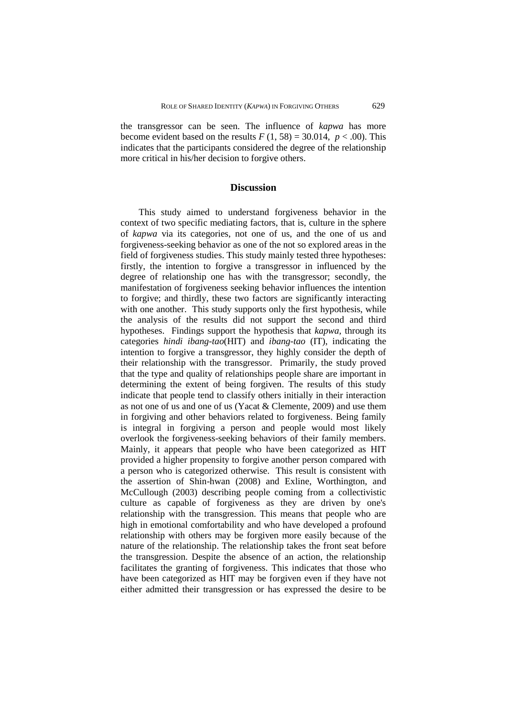the transgressor can be seen. The influence of *kapwa* has more become evident based on the results  $F(1, 58) = 30.014$ ,  $p < .00$ ). This indicates that the participants considered the degree of the relationship more critical in his/her decision to forgive others.

# **Discussion**

This study aimed to understand forgiveness behavior in the context of two specific mediating factors, that is, culture in the sphere of *kapwa* via its categories, not one of us, and the one of us and forgiveness-seeking behavior as one of the not so explored areas in the field of forgiveness studies. This study mainly tested three hypotheses: firstly, the intention to forgive a transgressor in influenced by the degree of relationship one has with the transgressor; secondly, the manifestation of forgiveness seeking behavior influences the intention to forgive; and thirdly, these two factors are significantly interacting with one another. This study supports only the first hypothesis, while the analysis of the results did not support the second and third hypotheses. Findings support the hypothesis that *kapwa,* through its categories *hindi ibang-tao*(HIT) and *ibang-tao* (IT), indicating the intention to forgive a transgressor, they highly consider the depth of their relationship with the transgressor. Primarily, the study proved that the type and quality of relationships people share are important in determining the extent of being forgiven. The results of this study indicate that people tend to classify others initially in their interaction as not one of us and one of us (Yacat & Clemente, 2009) and use them in forgiving and other behaviors related to forgiveness. Being family is integral in forgiving a person and people would most likely overlook the forgiveness-seeking behaviors of their family members. Mainly, it appears that people who have been categorized as HIT provided a higher propensity to forgive another person compared with a person who is categorized otherwise. This result is consistent with the assertion of Shin-hwan (2008) and Exline, Worthington, and McCullough (2003) describing people coming from a collectivistic culture as capable of forgiveness as they are driven by one's relationship with the transgression. This means that people who are high in emotional comfortability and who have developed a profound relationship with others may be forgiven more easily because of the nature of the relationship. The relationship takes the front seat before the transgression. Despite the absence of an action, the relationship facilitates the granting of forgiveness. This indicates that those who have been categorized as HIT may be forgiven even if they have not either admitted their transgression or has expressed the desire to be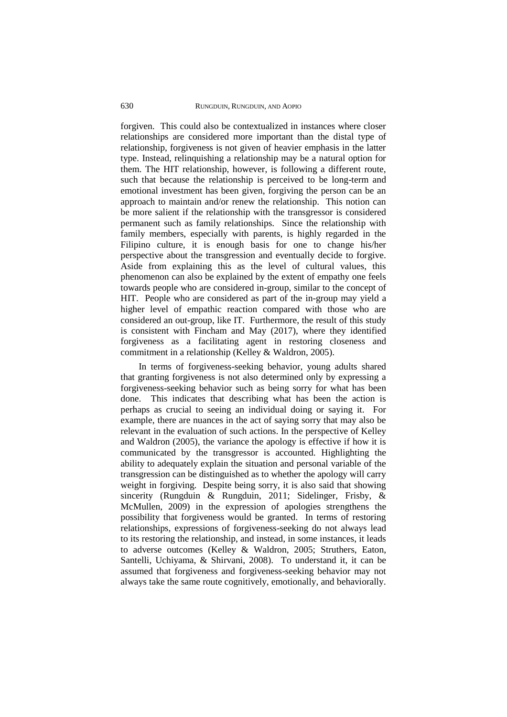forgiven. This could also be contextualized in instances where closer relationships are considered more important than the distal type of relationship, forgiveness is not given of heavier emphasis in the latter type. Instead, relinquishing a relationship may be a natural option for them. The HIT relationship, however, is following a different route, such that because the relationship is perceived to be long-term and emotional investment has been given, forgiving the person can be an approach to maintain and/or renew the relationship. This notion can be more salient if the relationship with the transgressor is considered permanent such as family relationships. Since the relationship with family members, especially with parents, is highly regarded in the Filipino culture, it is enough basis for one to change his/her perspective about the transgression and eventually decide to forgive. Aside from explaining this as the level of cultural values, this phenomenon can also be explained by the extent of empathy one feels towards people who are considered in-group, similar to the concept of HIT. People who are considered as part of the in-group may yield a higher level of empathic reaction compared with those who are considered an out-group, like IT. Furthermore, the result of this study is consistent with Fincham and May (2017), where they identified forgiveness as a facilitating agent in restoring closeness and commitment in a relationship (Kelley & Waldron, 2005).

In terms of forgiveness-seeking behavior, young adults shared that granting forgiveness is not also determined only by expressing a forgiveness-seeking behavior such as being sorry for what has been done. This indicates that describing what has been the action is perhaps as crucial to seeing an individual doing or saying it. For example, there are nuances in the act of saying sorry that may also be relevant in the evaluation of such actions. In the perspective of Kelley and Waldron (2005), the variance the apology is effective if how it is communicated by the transgressor is accounted. Highlighting the ability to adequately explain the situation and personal variable of the transgression can be distinguished as to whether the apology will carry weight in forgiving. Despite being sorry, it is also said that showing sincerity (Rungduin & Rungduin, 2011; Sidelinger, Frisby, & McMullen, 2009) in the expression of apologies strengthens the possibility that forgiveness would be granted. In terms of restoring relationships, expressions of forgiveness-seeking do not always lead to its restoring the relationship, and instead, in some instances, it leads to adverse outcomes (Kelley & Waldron, 2005; Struthers, Eaton, Santelli, Uchiyama, & Shirvani, 2008). To understand it, it can be assumed that forgiveness and forgiveness-seeking behavior may not always take the same route cognitively, emotionally, and behaviorally.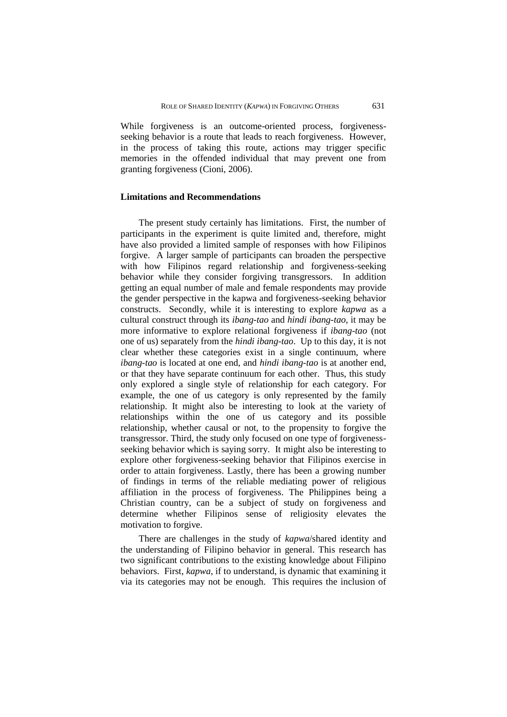While forgiveness is an outcome-oriented process, forgivenessseeking behavior is a route that leads to reach forgiveness. However, in the process of taking this route, actions may trigger specific memories in the offended individual that may prevent one from granting forgiveness (Cioni, 2006).

### **Limitations and Recommendations**

The present study certainly has limitations. First, the number of participants in the experiment is quite limited and, therefore, might have also provided a limited sample of responses with how Filipinos forgive. A larger sample of participants can broaden the perspective with how Filipinos regard relationship and forgiveness-seeking behavior while they consider forgiving transgressors. In addition getting an equal number of male and female respondents may provide the gender perspective in the kapwa and forgiveness-seeking behavior constructs. Secondly, while it is interesting to explore *kapwa* as a cultural construct through its *ibang-tao* and *hindi ibang-tao*, it may be more informative to explore relational forgiveness if *ibang-tao* (not one of us) separately from the *hindi ibang-tao*. Up to this day, it is not clear whether these categories exist in a single continuum, where *ibang-tao* is located at one end, and *hindi ibang-tao* is at another end, or that they have separate continuum for each other. Thus, this study only explored a single style of relationship for each category. For example, the one of us category is only represented by the family relationship. It might also be interesting to look at the variety of relationships within the one of us category and its possible relationship, whether causal or not, to the propensity to forgive the transgressor. Third, the study only focused on one type of forgivenessseeking behavior which is saying sorry. It might also be interesting to explore other forgiveness-seeking behavior that Filipinos exercise in order to attain forgiveness. Lastly, there has been a growing number of findings in terms of the reliable mediating power of religious affiliation in the process of forgiveness. The Philippines being a Christian country, can be a subject of study on forgiveness and determine whether Filipinos sense of religiosity elevates the motivation to forgive.

There are challenges in the study of *kapwa*/shared identity and the understanding of Filipino behavior in general. This research has two significant contributions to the existing knowledge about Filipino behaviors. First, *kapwa*, if to understand, is dynamic that examining it via its categories may not be enough. This requires the inclusion of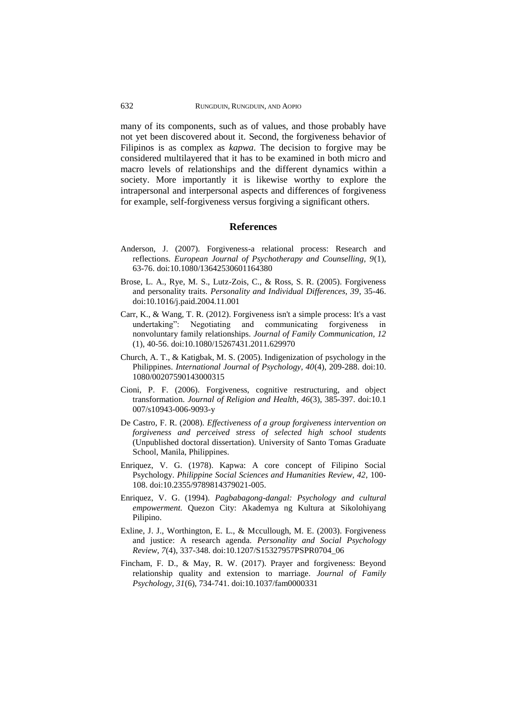many of its components, such as of values, and those probably have not yet been discovered about it. Second, the forgiveness behavior of Filipinos is as complex as *kapwa*. The decision to forgive may be considered multilayered that it has to be examined in both micro and macro levels of relationships and the different dynamics within a society. More importantly it is likewise worthy to explore the intrapersonal and interpersonal aspects and differences of forgiveness for example, self-forgiveness versus forgiving a significant others.

#### **References**

- Anderson, J. (2007). Forgiveness-a relational process: Research and reflections. *European Journal of Psychotherapy and Counselling, 9*(1), 63-76. doi[:10.1080/13642530601164380](https://doi.org/10.1080/13642530601164380)
- Brose, L. A., Rye, M. S., Lutz-Zois, C., & Ross, S. R. (2005). Forgiveness and personality traits. *Personality and Individual Differences, 39*, 35-46. doi:10.1016/j.paid.2004.11.001
- Carr, K., & Wang, T. R. (2012). Forgiveness isn't a simple process: It's a vast undertaking": Negotiating and communicating forgiveness in nonvoluntary family relationships. *Journal of Family Communication, 12* (1), 40-56. doi[:10.1080/15267431.2011.629970](https://doi.org/10.1080/15267431.2011.629970)
- Church, A. T., & Katigbak, M. S. (2005). Indigenization of psychology in the Philippines. *International Journal of Psychology, 40*(4), 209-288. doi[:10.](https://doi.org/10.1080/00207590143000315) [1080/00207590143000315](https://doi.org/10.1080/00207590143000315)
- Cioni, P. F. (2006). Forgiveness, cognitive restructuring, and object transformation. *Journal of Religion and Health, 46*(3), 385-397. doi:10.1 007/s10943-006-9093-y
- De Castro, F. R. (2008). *Effectiveness of a group forgiveness intervention on forgiveness and perceived stress of selected high school students* (Unpublished doctoral dissertation). University of Santo Tomas Graduate School, Manila, Philippines.
- Enriquez, V. G. (1978). Kapwa: A core concept of Filipino Social Psychology. *Philippine Social Sciences and Humanities Review, 42*, 100- 108. doi:10.2355/9789814379021-005.
- Enriquez, V. G. (1994). *Pagbabagong-dangal: Psychology and cultural empowerment.* Quezon City: Akademya ng Kultura at Sikolohiyang Pilipino.
- Exline, J. J., Worthington, E. L., & Mccullough, M. E. (2003). Forgiveness and justice: A research agenda. *Personality and Social Psychology Review, 7*(4), 337-348. doi:10.1207/S15327957PSPR0704\_06
- Fincham, F. D., & May, R. W. (2017). Prayer and forgiveness: Beyond relationship quality and extension to marriage. *Journal of Family Psychology, 31*(6), 734-741. doi:10.1037/fam0000331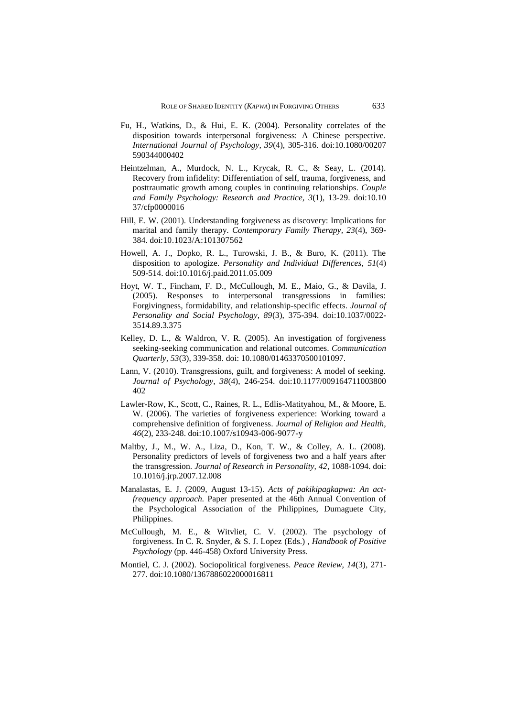- Fu, H., Watkins, D., & Hui, E. K. (2004). Personality correlates of the disposition towards interpersonal forgiveness: A Chinese perspective. *International Journal of Psychology, 39*(4), 305-316. doi:10.1080/00207 590344000402
- Heintzelman, A., Murdock, N. L., Krycak, R. C., & Seay, L. (2014). Recovery from infidelity: Differentiation of self, trauma, forgiveness, and posttraumatic growth among couples in continuing relationships. *Couple and Family Psychology: Research and Practice, 3*(1), 13-29. doi:10.10 37/cfp0000016
- Hill, E. W. (2001). Understanding forgiveness as discovery: Implications for marital and family therapy. *Contemporary Family Therapy, 23*(4), 369- 384. doi:10.1023/A:101307562
- Howell, A. J., Dopko, R. L., Turowski, J. B., & Buro, K. (2011). The disposition to apologize. *Personality and Individual Differences*, *51*(4) 509-514. doi:10.1016/j.paid.2011.05.009
- Hoyt, W. T., Fincham, F. D., McCullough, M. E., Maio, G., & Davila, J. (2005). Responses to interpersonal transgressions in families: Forgivingness, formidability, and relationship-specific effects. *Journal of Personality and Social Psychology, 89*(3), 375-394. doi:10.1037/0022- 3514.89.3.375
- Kelley, D. L., & Waldron, V. R. (2005). An investigation of forgiveness seeking-seeking communication and relational outcomes. *Communication Quarterly, 53*(3), 339-358. doi: 10.1080/01463370500101097.
- Lann, V. (2010). Transgressions, guilt, and forgiveness: A model of seeking. *Journal of Psychology, 38*(4), 246-254. doi:10.1177/009164711003800 402
- Lawler-Row, K., Scott, C., Raines, R. L., Edlis-Matityahou, M., & Moore, E. W. (2006). The varieties of forgiveness experience: Working toward a comprehensive definition of forgiveness. *Journal of Religion and Health, 46*(2), 233-248. doi:10.1007/s10943-006-9077-y
- Maltby, J., M., W. A., Liza, D., Kon, T. W., & Colley, A. L. (2008). Personality predictors of levels of forgiveness two and a half years after the transgression. *Journal of Research in Personality, 42*, 1088-1094. doi: 10.1016/j.jrp.2007.12.008
- Manalastas, E. J. (2009, August 13-15). *Acts of pakikipagkapwa: An actfrequency approach.* Paper presented at the 46th Annual Convention of the Psychological Association of the Philippines, Dumaguete City, Philippines.
- McCullough, M. E., & Witvliet, C. V. (2002). The psychology of forgiveness. In C. R. Snyder, & S. J. Lopez (Eds.) , *Handbook of Positive Psychology* (pp. 446-458) Oxford University Press.
- Montiel, C. J. (2002). Sociopolitical forgiveness. *Peace Review, 14*(3), 271- 277. doi:10.1080/1367886022000016811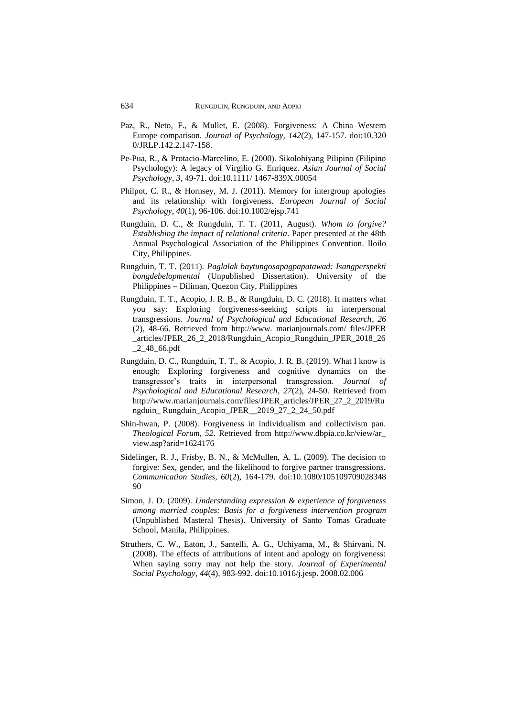- Paz, R., Neto, F., & Mullet, E. (2008). Forgiveness: A China–Western Europe comparison. *Journal of Psychology, 142*(2), 147-157. doi:10.320 0/JRLP.142.2.147-158.
- Pe-Pua, R., & Protacio-Marcelino, E. (2000). Sikolohiyang Pilipino (Filipino Psychology): A legacy of Virgilio G. Enriquez. *Asian Journal of Social Psychology*, *3*, 49-71. doi:10.1111/ 1467-839X.00054
- Philpot, C. R., & Hornsey, M. J. (2011). Memory for intergroup apologies and its relationship with forgiveness. *European Journal of Social Psychology, 40*(1), 96-106. doi:10.1002/ejsp.741
- Rungduin, D. C., & Rungduin, T. T. (2011, August). *Whom to forgive? Establishing the impact of relational criteria*. Paper presented at the 48th Annual Psychological Association of the Philippines Convention*.* Iloilo City, Philippines.
- Rungduin, T. T. (2011). *Paglalak baytungosapagpapatawad: Isangperspekti bongdebelopmental* (Unpublished Dissertation). University of the Philippines – Diliman, Quezon City, Philippines
- Rungduin, T. T., Acopio, J. R. B., & Rungduin, D. C. (2018). It matters what you say: Exploring forgiveness-seeking scripts in interpersonal transgressions. *Journal of Psychological and Educational Research*, *26* (2), 48-66. Retrieved from http://www. marianjournals.com/ files/JPER \_articles/JPER\_26\_2\_2018/Rungduin\_Acopio\_Rungduin\_JPER\_2018\_26  $2$   $48$   $66$   $pdf$
- Rungduin, D. C., Rungduin, T. T., & Acopio, J. R. B. (2019). What I know is enough: Exploring forgiveness and cognitive dynamics on the transgressor's traits in interpersonal transgression. *Journal of Psychological and Educational Research*, *27*(2), 24-50. Retrieved from http://www.marianjournals.com/files/JPER\_articles/JPER\_27\_2\_2019/Ru ngduin\_ Rungduin\_Acopio\_JPER\_\_2019\_27\_2\_24\_50.pdf
- Shin-hwan, P. (2008). Forgiveness in individualism and collectivism pan. *Theological Forum, 52*. Retrieved from http://www.dbpia.co.kr/view/ar\_ view.asp?arid=1624176
- Sidelinger, R. J., Frisby, B. N., & McMullen, A. L. (2009). The decision to forgive: Sex, gender, and the likelihood to forgive partner transgressions. *Communication Studies, 60*(2), 164-179. doi:10.1080/105109709028348 90
- Simon, J. D. (2009). *Understanding expression & experience of forgiveness among married couples: Basis for a forgiveness intervention program* (Unpublished Masteral Thesis). University of Santo Tomas Graduate School, Manila, Philippines.
- Struthers, C. W., Eaton, J., Santelli, A. G., Uchiyama, M., & Shirvani, N. (2008). The effects of attributions of intent and apology on forgiveness: When saying sorry may not help the story. *Journal of Experimental Social Psychology, 44*(4), 983-992. doi:10.1016/j.jesp. 2008.02.006